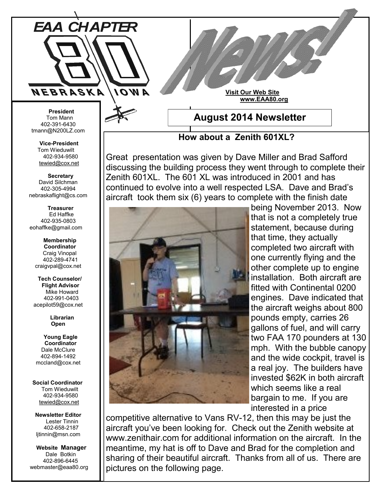

**Visit Our Web Site www.EAA80.org**

 **President** Tom Mann 402-391-6430 tmann@N200LZ.com

> **Vice-President** Tom Wieduwilt 402-934-9580 [tewied@cox.net](javascript:parent.wgMail.openComposeWindow()

 **Secretary** David Silchman 402-305-4994 nebraskaflight@cs.com

 **Treasurer** Ed Haffke 402-935-0803 eohaffke@gmail.com

> **Membership Coordinator** Craig Vinopal 402-289-4741 craigvpal@cox.net

 **Tech Counselor/ Flight Advisor** Mike Howard 402-991-0403 acepilot59@cox.net

> **Librarian Open**

 **Young Eagle Coordinator** Dale McClure 402-894-1492 mccland@cox.net

 **Social Coordinator** Tom Wieduwilt 402-934-9580 [tewied@cox.net](javascript:parent.wgMail.openComposeWindow()

**Newsletter Editor** Lester Tinnin 402-658-2187 ljtinnin@msn.com

 **Website Manager** Dale Botkin 402-896-6445 webmaster@eaa80.org **August 2014 Newsletter**

**How about a Zenith 601XL?**

Great presentation was given by Dave Miller and Brad Safford discussing the building process they went through to complete their Zenith 601XL. The 601 XL was introduced in 2001 and has continued to evolve into a well respected LSA. Dave and Brad's aircraft took them six (6) years to complete with the finish date



being November 2013. Now that is not a completely true statement, because during that time, they actually completed two aircraft with one currently flying and the other complete up to engine installation. Both aircraft are fitted with Continental 0200 engines. Dave indicated that the aircraft weighs about 800 pounds empty, carries 26 gallons of fuel, and will carry two FAA 170 pounders at 130 mph. With the bubble canopy and the wide cockpit, travel is a real joy. The builders have invested \$62K in both aircraft which seems like a real bargain to me. If you are interested in a price

competitive alternative to Vans RV-12, then this may be just the aircraft you've been looking for. Check out the Zenith website at www.zenithair.com for additional information on the aircraft. In the meantime, my hat is off to Dave and Brad for the completion and sharing of their beautiful aircraft. Thanks from all of us. There are pictures on the following page.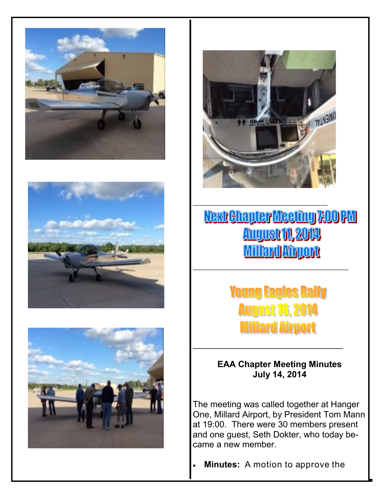







 $\mathcal{L}_\text{max}$  , and the set of the set of the set of the set of the set of the set of the set of the set of the set of the set of the set of the set of the set of the set of the set of the set of the set of the set of the

## Next Chapter Meeting 7:00 PM **August 11, 2014 Millard Airport**

\_\_\_\_\_\_\_\_\_\_\_\_\_\_\_\_\_\_\_\_\_\_\_\_\_\_\_\_\_\_\_\_\_\_\_\_\_\_\_\_\_\_\_\_\_

**Young Eagles Rally August 16, 2014 Millard Airport** 

**EAA Chapter Meeting Minutes July 14, 2014**

\_\_\_\_\_\_\_\_\_\_\_\_\_\_\_\_\_\_\_\_\_\_\_\_\_\_\_\_\_\_\_

The meeting was called together at Hanger One, Millard Airport, by President Tom Mann at 19:00. There were 30 members present and one guest, Seth Dokter, who today became a new member.

**Minutes:** A motion to approve the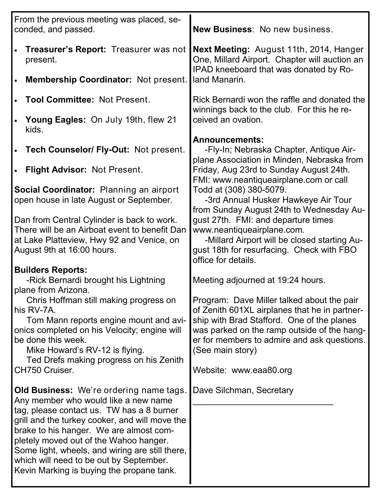| From the previous meeting was placed, se-<br>conded, and passed.                                                                                                                                                                                                                                                                                                                                                      | New Business: No new business.                                                                                                                                                                                                                                                                                                                    |
|-----------------------------------------------------------------------------------------------------------------------------------------------------------------------------------------------------------------------------------------------------------------------------------------------------------------------------------------------------------------------------------------------------------------------|---------------------------------------------------------------------------------------------------------------------------------------------------------------------------------------------------------------------------------------------------------------------------------------------------------------------------------------------------|
| Treasurer's Report: Treasurer was not<br>present.                                                                                                                                                                                                                                                                                                                                                                     | Next Meeting: August 11th, 2014, Hanger<br>One, Millard Airport. Chapter will auction an                                                                                                                                                                                                                                                          |
| Membership Coordinator: Not present.                                                                                                                                                                                                                                                                                                                                                                                  | IPAD kneeboard that was donated by Ro-<br>land Manarin.                                                                                                                                                                                                                                                                                           |
| <b>Tool Committee: Not Present.</b>                                                                                                                                                                                                                                                                                                                                                                                   | Rick Bernardi won the raffle and donated the<br>winnings back to the club. For this he re-                                                                                                                                                                                                                                                        |
| Young Eagles: On July 19th, flew 21<br>kids.                                                                                                                                                                                                                                                                                                                                                                          | ceived an ovation.                                                                                                                                                                                                                                                                                                                                |
| Tech Counselor/ Fly-Out: Not present.                                                                                                                                                                                                                                                                                                                                                                                 | <b>Announcements:</b><br>-Fly-In; Nebraska Chapter, Antique Air-<br>plane Association in Minden, Nebraska from                                                                                                                                                                                                                                    |
| <b>Flight Advisor: Not Present.</b>                                                                                                                                                                                                                                                                                                                                                                                   | Friday, Aug 23rd to Sunday August 24th.<br>FMI: www.neantiqueairplane.com or call                                                                                                                                                                                                                                                                 |
| Social Coordinator: Planning an airport<br>open house in late August or September.                                                                                                                                                                                                                                                                                                                                    | Todd at (308) 380-5079.<br>-3rd Annual Husker Hawkeye Air Tour<br>from Sunday August 24th to Wednesday Au-                                                                                                                                                                                                                                        |
| Dan from Central Cylinder is back to work.<br>There will be an Airboat event to benefit Dan<br>at Lake Platteview, Hwy 92 and Venice, on<br>August 9th at 16:00 hours.                                                                                                                                                                                                                                                | gust 27th. FMI: and departure times<br>www.neantiqueairplane.com.<br>-Millard Airport will be closed starting Au-<br>gust 18th for resurfacing. Check with FBO                                                                                                                                                                                    |
| <b>Builders Reports:</b><br>-Rick Bernardi brought his Lightning<br>plane from Arizona.<br>Chris Hoffman still making progress on<br>his RV-7A.<br>Tom Mann reports engine mount and avi-<br>onics completed on his Velocity; engine will<br>be done this week.<br>Mike Howard's RV-12 is flying.<br>Ted Drefs making progress on his Zenith<br>CH750 Cruiser.                                                        | office for details.<br>Meeting adjourned at 19:24 hours.<br>Program: Dave Miller talked about the pair<br>of Zenith 601XL airplanes that he in partner-<br>ship with Brad Stafford. One of the planes<br>was parked on the ramp outside of the hang-<br>er for members to admire and ask questions.<br>(See main story)<br>Website: www.eaa80.org |
| <b>Old Business:</b> We're ordering name tags.<br>Any member who would like a new name<br>tag, please contact us. TW has a 8 burner<br>grill and the turkey cooker, and will move the<br>brake to his hanger. We are almost com-<br>pletely moved out of the Wahoo hanger.<br>Some light, wheels, and wiring are still there,<br>which will need to be out by September.<br>Kevin Marking is buying the propane tank. | Dave Silchman, Secretary                                                                                                                                                                                                                                                                                                                          |